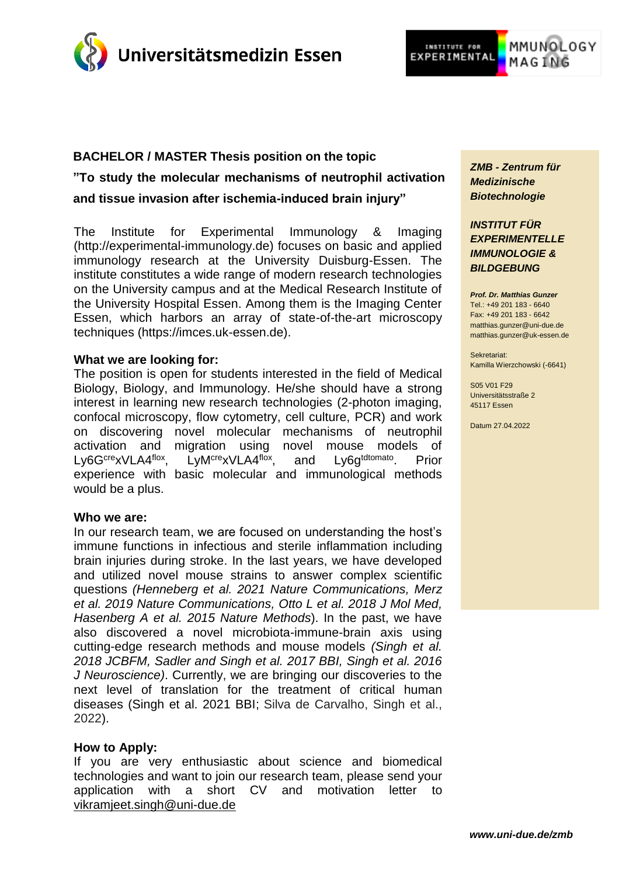



# **BACHELOR / MASTER Thesis position on the topic "To study the molecular mechanisms of neutrophil activation and tissue invasion after ischemia-induced brain injury"**

The Institute for Experimental Immunology & Imaging (http://experimental-immunology.de) focuses on basic and applied immunology research at the University Duisburg-Essen. The institute constitutes a wide range of modern research technologies on the University campus and at the Medical Research Institute of the University Hospital Essen. Among them is the Imaging Center Essen, which harbors an array of state-of-the-art microscopy techniques (https://imces.uk-essen.de).

#### **What we are looking for:**

The position is open for students interested in the field of Medical Biology, Biology, and Immunology. He/she should have a strong interest in learning new research technologies (2-photon imaging, confocal microscopy, flow cytometry, cell culture, PCR) and work on discovering novel molecular mechanisms of neutrophil activation and migration using novel mouse models of<br>Ly6G<sup>cre</sup>xVLA4<sup>flox</sup>, LvM<sup>cre</sup>xVLA4<sup>flox</sup>, and Lv6g<sup>tdtomato</sup> Prior Ly6G<sup>cre</sup>xVLA4<sup>flox</sup>, LyM<sup>cre</sup>xVLA4<sup>flox</sup>, and . Prior experience with basic molecular and immunological methods would be a plus.

#### **Who we are:**

In our research team, we are focused on understanding the host's immune functions in infectious and sterile inflammation including brain injuries during stroke. In the last years, we have developed and utilized novel mouse strains to answer complex scientific questions *(Henneberg et al. 2021 Nature Communications, Merz et al. 2019 Nature Communications, Otto L et al. 2018 J Mol Med, Hasenberg A et al. 2015 Nature Methods*). In the past, we have also discovered a novel microbiota-immune-brain axis using cutting-edge research methods and mouse models *(Singh et al. 2018 JCBFM, Sadler and Singh et al. 2017 BBI, Singh et al. 2016 J Neuroscience)*. Currently, we are bringing our discoveries to the next level of translation for the treatment of critical human diseases (Singh et al. 2021 BBI; Silva de Carvalho, Singh et al., 2022).

## **How to Apply:**

If you are very enthusiastic about science and biomedical technologies and want to join our research team, please send your application with a short CV and motivation letter to [vikramjeet.singh@uni-due.de](mailto:vikramjeet.singh@uni-due.de)

*ZMB - Zentrum für Medizinische Biotechnologie*

*INSTITUT FÜR EXPERIMENTELLE IMMUNOLOGIE & BILDGEBUNG*

*Prof. Dr. Matthias Gunzer*  $Tel + 49 201 183 - 6640$ Fax: +49 201 183 - 6642 [matthias.gunzer@uni-due.de](mailto:matthias.gunzer@uni-due.de) matthias.gunzer@uk-essen.de

Sekretariat: Kamilla Wierzchowski (-6641)

S05 V01 F29 Universitätsstraße 2 45117 Essen

Datum 27.04.2022